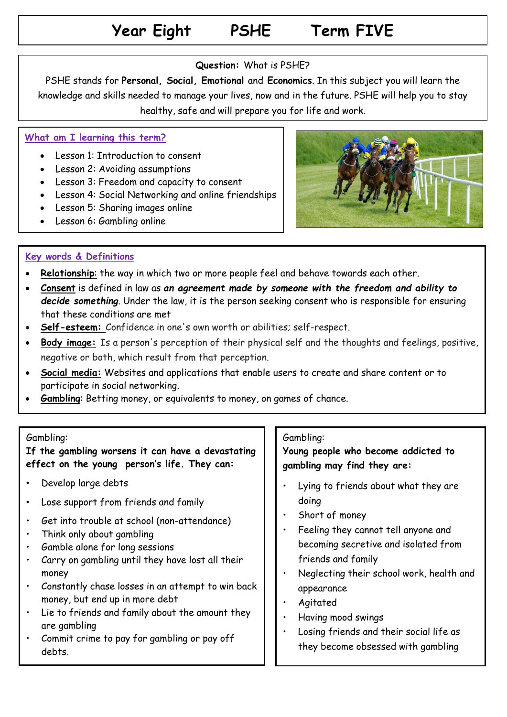# **Year Eight PSHE Term FIVE**

### **Question:** What is PSHE?

PSHE stands for **Personal, Social, Emotional** and **Economics**. In this subject you will learn the knowledge and skills needed to manage your lives, now and in the future. PSHE will help you to stay healthy, safe and will prepare you for life and work.

### **What am I learning this term?**

- Lesson 1: Introduction to consent
- Lesson 2: Avoiding assumptions
- Lesson 3: Freedom and capacity to consent
- Lesson 4: Social Networking and online friendships
- Lesson 5: Sharing images online
- Lesson 6: Gambling online



### **Key words & Definitions**

- **Relationship**: the way in which two or more people feel and behave towards each other.
- **Consent** is defined in law as *an agreement made by someone with the freedom and ability to decide something*. Under the law, it is the person seeking consent who is responsible for ensuring that these conditions are met
- **Self-esteem:** Confidence in one's own worth or abilities; self-respect.
- **Body image:** Is a person's perception of their physical self and the thoughts and feelings, positive, negative or both, which result from that perception.
- **Social media:** Websites and applications that enable users to create and share content or to participate in social networking.
- **Gambling**: Betting money, or equivalents to money, on games of chance.

#### Gambling:

**If the gambling worsens it can have a devastating effect on the young person's life. They can:**

- Develop large debts
- Lose support from friends and family
- Get into trouble at school (non-attendance)
- Think only about gambling
- Gamble alone for long sessions
- Carry on gambling until they have lost all their money
- Constantly chase losses in an attempt to win back money, but end up in more debt
- Lie to friends and family about the amount they are gambling
- Commit crime to pay for gambling or pay off debts.

### Gambling:

**Young people who become addicted to gambling may find they are:**

- Lying to friends about what they are doing
- Short of money
- Feeling they cannot tell anyone and becoming secretive and isolated from friends and family
- Neglecting their school work, health and appearance
- Agitated
- Having mood swings
- Losing friends and their social life as they become obsessed with gambling